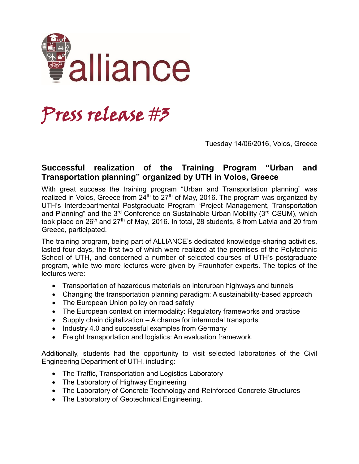

## Press release #3

Tuesday 14/06/2016, Volos, Greece

## **Successful realization of the Training Program "Urban and Transportation planning" organized by UTH in Volos, Greece**

With great success the training program "Urban and Transportation planning" was realized in Volos, Greece from  $24<sup>th</sup>$  to  $27<sup>th</sup>$  of May, 2016. The program was organized by UTH's Interdepartmental Postgraduate Program "Project Management, Transportation and Planning" and the 3<sup>rd</sup> Conference on Sustainable Urban Mobility (3<sup>rd</sup> CSUM), which took place on  $26<sup>th</sup>$  and  $27<sup>th</sup>$  of May, 2016. In total, 28 students, 8 from Latvia and 20 from Greece, participated.

The training program, being part of ALLIANCE's dedicated knowledge-sharing activities, lasted four days, the first two of which were realized at the premises of the Polytechnic School of UTH, and concerned a number of selected courses of UTH's postgraduate program, while two more lectures were given by Fraunhofer experts. The topics of the lectures were:

- Transportation of hazardous materials on interurban highways and tunnels
- Changing the transportation planning paradigm: A sustainability-based approach
- The European Union policy on road safety
- The European context on intermodality: Regulatory frameworks and practice
- Supply chain digitalization A chance for intermodal transports
- Industry 4.0 and successful examples from Germany
- Freight transportation and logistics: An evaluation framework.

Additionally, students had the opportunity to visit selected laboratories of the Civil Engineering Department of UTH, including:

- The Traffic, Transportation and Logistics Laboratory
- The Laboratory of Highway Engineering
- The Laboratory of Concrete Technology and Reinforced Concrete Structures
- The Laboratory of Geotechnical Engineering.